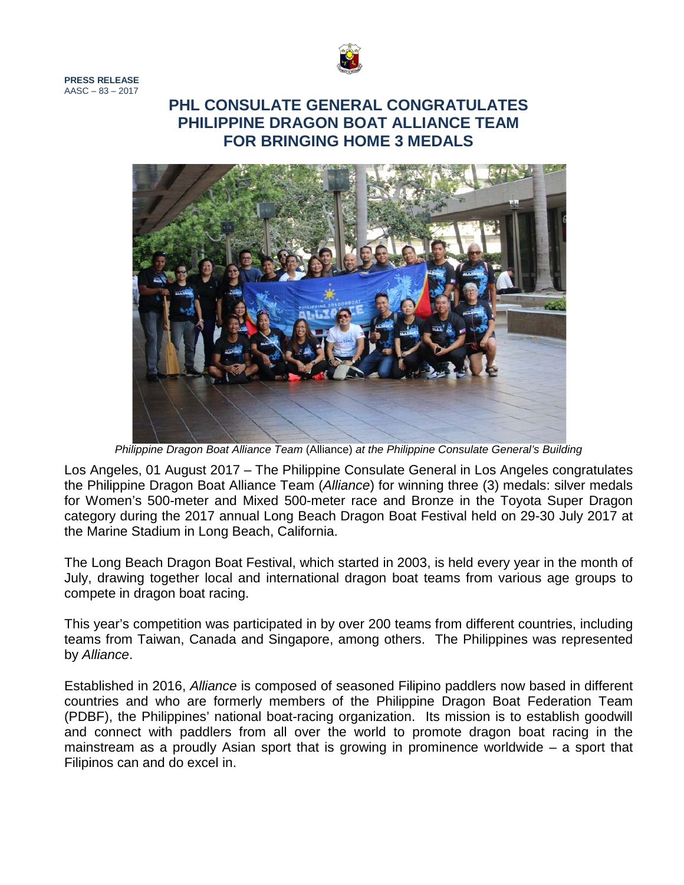

**PRESS RELEASE**  $AASC - 83 - 2017$ 

## **PHL CONSULATE GENERAL CONGRATULATES PHILIPPINE DRAGON BOAT ALLIANCE TEAM FOR BRINGING HOME 3 MEDALS**



*Philippine Dragon Boat Alliance Team* (Alliance) *at the Philippine Consulate General's Building*

Los Angeles, 01 August 2017 – The Philippine Consulate General in Los Angeles congratulates the Philippine Dragon Boat Alliance Team (*Alliance*) for winning three (3) medals: silver medals for Women's 500-meter and Mixed 500-meter race and Bronze in the Toyota Super Dragon category during the 2017 annual Long Beach Dragon Boat Festival held on 29-30 July 2017 at the Marine Stadium in Long Beach, California.

The Long Beach Dragon Boat Festival, which started in 2003, is held every year in the month of July, drawing together local and international dragon boat teams from various age groups to compete in dragon boat racing.

This year's competition was participated in by over 200 teams from different countries, including teams from Taiwan, Canada and Singapore, among others. The Philippines was represented by *Alliance*.

Established in 2016, *Alliance* is composed of seasoned Filipino paddlers now based in different countries and who are formerly members of the Philippine Dragon Boat Federation Team (PDBF), the Philippines' national boat-racing organization. Its mission is to establish goodwill and connect with paddlers from all over the world to promote dragon boat racing in the mainstream as a proudly Asian sport that is growing in prominence worldwide – a sport that Filipinos can and do excel in.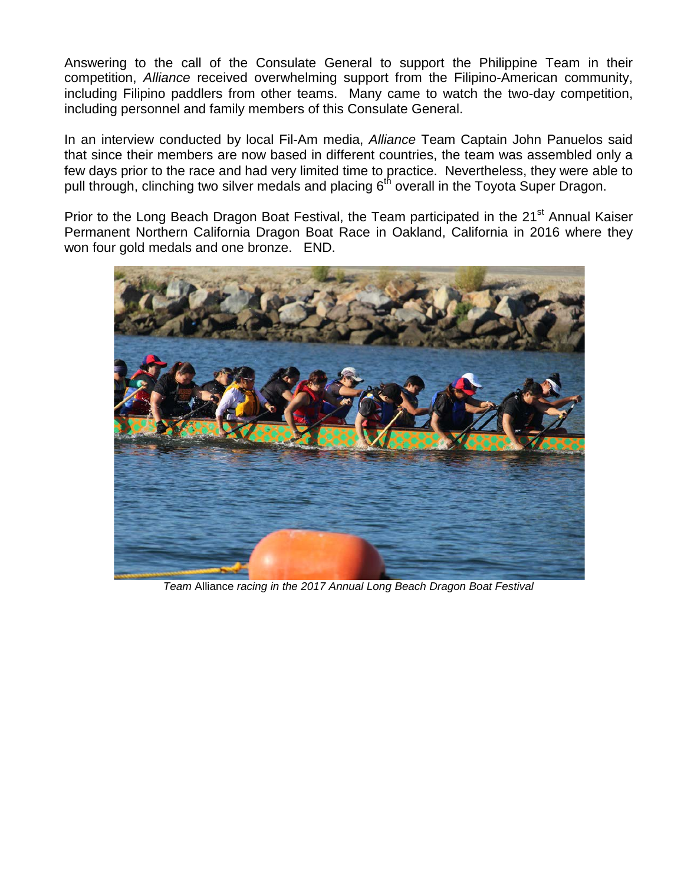Answering to the call of the Consulate General to support the Philippine Team in their competition, *Alliance* received overwhelming support from the Filipino-American community, including Filipino paddlers from other teams. Many came to watch the two-day competition, including personnel and family members of this Consulate General.

In an interview conducted by local Fil-Am media, *Alliance* Team Captain John Panuelos said that since their members are now based in different countries, the team was assembled only a few days prior to the race and had very limited time to practice. Nevertheless, they were able to pull through, clinching two silver medals and placing 6<sup>th</sup> overall in the Toyota Super Dragon.

Prior to the Long Beach Dragon Boat Festival, the Team participated in the 21<sup>st</sup> Annual Kaiser Permanent Northern California Dragon Boat Race in Oakland, California in 2016 where they won four gold medals and one bronze. END.



*Team* Alliance *racing in the 2017 Annual Long Beach Dragon Boat Festival*